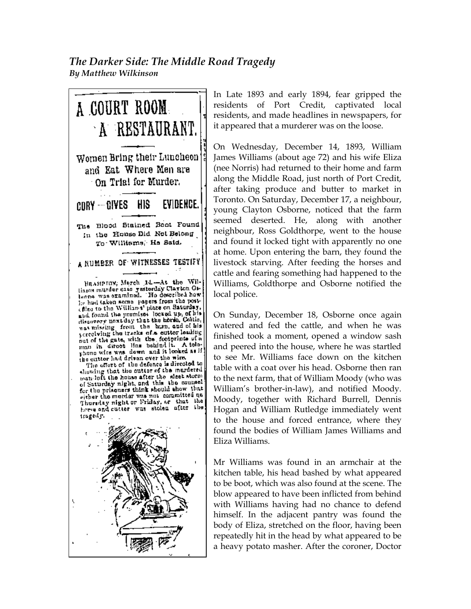## *The Darker Side: The Middle Road Tragedy By Matthew Wilkinson*



In Late 1893 and early 1894, fear gripped the residents of Port Credit, captivated local residents, and made headlines in newspapers, for it appeared that a murderer was on the loose.

On Wednesday, December 14, 1893, William James Williams (about age 72) and his wife Eliza (nee Norris) had returned to their home and farm along the Middle Road, just north of Port Credit, after taking produce and butter to market in Toronto. On Saturday, December 17, a neighbour, young Clayton Osborne, noticed that the farm seemed deserted. He, along with another neighbour, Ross Goldthorpe, went to the house and found it locked tight with apparently no one at home. Upon entering the barn, they found the livestock starving. After feeding the horses and cattle and fearing something had happened to the Williams, Goldthorpe and Osborne notified the local police.

On Sunday, December 18, Osborne once again watered and fed the cattle, and when he was finished took a moment, opened a window sash and peered into the house, where he was startled to see Mr. Williams face down on the kitchen table with a coat over his head. Osborne then ran to the next farm, that of William Moody (who was William's brother-in-law), and notified Moody. Moody, together with Richard Burrell, Dennis Hogan and William Rutledge immediately went to the house and forced entrance, where they found the bodies of William James Williams and Eliza Williams.

Mr Williams was found in an armchair at the kitchen table, his head bashed by what appeared to be boot, which was also found at the scene. The blow appeared to have been inflicted from behind with Williams having had no chance to defend himself. In the adjacent pantry was found the body of Eliza, stretched on the floor, having been repeatedly hit in the head by what appeared to be a heavy potato masher. After the coroner, Doctor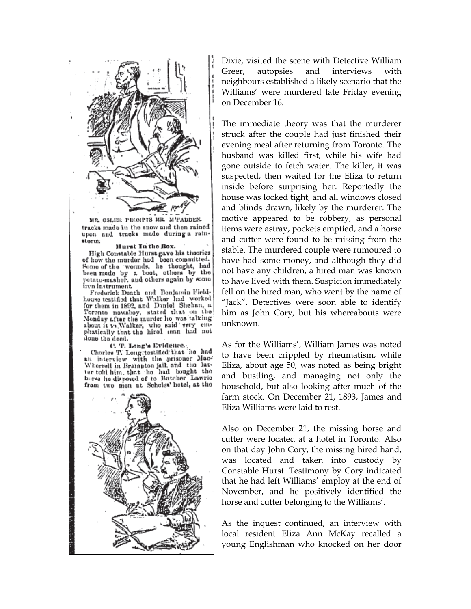

MR. OSLER PROMPTS MR. M'FADDEN. tracks made in the snow and then rained upon and tracks made during a rainstorm.

## Hurst In the Rox.

High Constable Hurst gave his theories<br>of how the murder had been committed. of how the murder had been committed.<br>Some of the wounds, he thought, had<br>been made by a boot, others by the<br>potato-masher, and others again by some<br>iron instrument.

Frederick Death and Benjamin Fieldhouse testified that Walker had worked for them in 1892, and Daniel Shehan, a Toronto nowsboy, stated that on the Monday after the murder he was talking about it to Walker, who said very emphatically that the hired man had not done the deed.

C. T. Long's Evidence.<br>Charles T. Long:testified: that he had<br>an interview with the prisoner Mac-<br>Wherrell in Brampton jail, and the latter told him, that he had bought the here he disposed of to Butcher Lawrie from two men at Scholes' hotel, at the



Dixie, visited the scene with Detective William Greer, autopsies and interviews with neighbours established a likely scenario that the Williams' were murdered late Friday evening on December 16.

The immediate theory was that the murderer struck after the couple had just finished their evening meal after returning from Toronto. The husband was killed first, while his wife had gone outside to fetch water. The killer, it was suspected, then waited for the Eliza to return inside before surprising her. Reportedly the house was locked tight, and all windows closed and blinds drawn, likely by the murderer. The motive appeared to be robbery, as personal items were astray, pockets emptied, and a horse and cutter were found to be missing from the stable. The murdered couple were rumoured to have had some money, and although they did not have any children, a hired man was known to have lived with them. Suspicion immediately fell on the hired man, who went by the name of "Jack". Detectives were soon able to identify him as John Cory, but his whereabouts were unknown.

As for the Williams', William James was noted to have been crippled by rheumatism, while Eliza, about age 50, was noted as being bright and bustling, and managing not only the household, but also looking after much of the farm stock. On December 21, 1893, James and Eliza Williams were laid to rest.

Also on December 21, the missing horse and cutter were located at a hotel in Toronto. Also on that day John Cory, the missing hired hand, was located and taken into custody by Constable Hurst. Testimony by Cory indicated that he had left Williams' employ at the end of November, and he positively identified the horse and cutter belonging to the Williams'.

As the inquest continued, an interview with local resident Eliza Ann McKay recalled a young Englishman who knocked on her door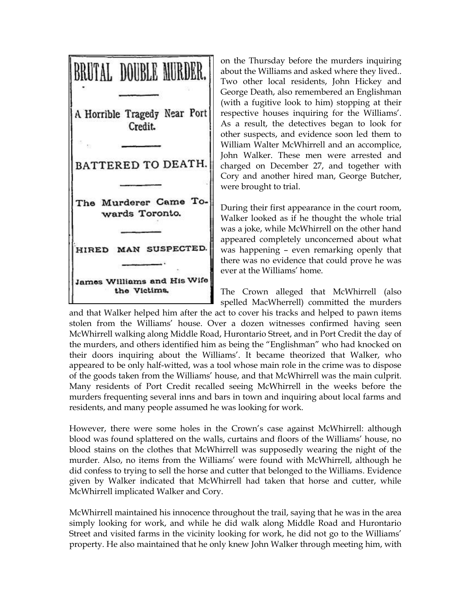

on the Thursday before the murders inquiring about the Williams and asked where they lived.. Two other local residents, John Hickey and George Death, also remembered an Englishman (with a fugitive look to him) stopping at their respective houses inquiring for the Williams'. As a result, the detectives began to look for other suspects, and evidence soon led them to William Walter McWhirrell and an accomplice, John Walker. These men were arrested and charged on December 27, and together with Cory and another hired man, George Butcher, were brought to trial.

During their first appearance in the court room, Walker looked as if he thought the whole trial was a joke, while McWhirrell on the other hand appeared completely unconcerned about what was happening – even remarking openly that there was no evidence that could prove he was ever at the Williams' home.

The Crown alleged that McWhirrell (also spelled MacWherrell) committed the murders

and that Walker helped him after the act to cover his tracks and helped to pawn items stolen from the Williams' house. Over a dozen witnesses confirmed having seen McWhirrell walking along Middle Road, Hurontario Street, and in Port Credit the day of the murders, and others identified him as being the "Englishman" who had knocked on their doors inquiring about the Williams'. It became theorized that Walker, who appeared to be only half-witted, was a tool whose main role in the crime was to dispose of the goods taken from the Williams' house, and that McWhirrell was the main culprit. Many residents of Port Credit recalled seeing McWhirrell in the weeks before the murders frequenting several inns and bars in town and inquiring about local farms and residents, and many people assumed he was looking for work.

However, there were some holes in the Crown's case against McWhirrell: although blood was found splattered on the walls, curtains and floors of the Williams' house, no blood stains on the clothes that McWhirrell was supposedly wearing the night of the murder. Also, no items from the Williams' were found with McWhirrell, although he did confess to trying to sell the horse and cutter that belonged to the Williams. Evidence given by Walker indicated that McWhirrell had taken that horse and cutter, while McWhirrell implicated Walker and Cory.

McWhirrell maintained his innocence throughout the trail, saying that he was in the area simply looking for work, and while he did walk along Middle Road and Hurontario Street and visited farms in the vicinity looking for work, he did not go to the Williams' property. He also maintained that he only knew John Walker through meeting him, with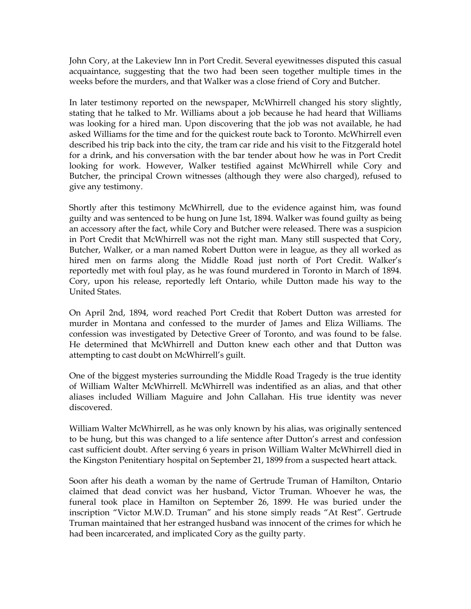John Cory, at the Lakeview Inn in Port Credit. Several eyewitnesses disputed this casual acquaintance, suggesting that the two had been seen together multiple times in the weeks before the murders, and that Walker was a close friend of Cory and Butcher.

In later testimony reported on the newspaper, McWhirrell changed his story slightly, stating that he talked to Mr. Williams about a job because he had heard that Williams was looking for a hired man. Upon discovering that the job was not available, he had asked Williams for the time and for the quickest route back to Toronto. McWhirrell even described his trip back into the city, the tram car ride and his visit to the Fitzgerald hotel for a drink, and his conversation with the bar tender about how he was in Port Credit looking for work. However, Walker testified against McWhirrell while Cory and Butcher, the principal Crown witnesses (although they were also charged), refused to give any testimony.

Shortly after this testimony McWhirrell, due to the evidence against him, was found guilty and was sentenced to be hung on June 1st, 1894. Walker was found guilty as being an accessory after the fact, while Cory and Butcher were released. There was a suspicion in Port Credit that McWhirrell was not the right man. Many still suspected that Cory, Butcher, Walker, or a man named Robert Dutton were in league, as they all worked as hired men on farms along the Middle Road just north of Port Credit. Walker's reportedly met with foul play, as he was found murdered in Toronto in March of 1894. Cory, upon his release, reportedly left Ontario, while Dutton made his way to the United States.

On April 2nd, 1894, word reached Port Credit that Robert Dutton was arrested for murder in Montana and confessed to the murder of James and Eliza Williams. The confession was investigated by Detective Greer of Toronto, and was found to be false. He determined that McWhirrell and Dutton knew each other and that Dutton was attempting to cast doubt on McWhirrell's guilt.

One of the biggest mysteries surrounding the Middle Road Tragedy is the true identity of William Walter McWhirrell. McWhirrell was indentified as an alias, and that other aliases included William Maguire and John Callahan. His true identity was never discovered.

William Walter McWhirrell, as he was only known by his alias, was originally sentenced to be hung, but this was changed to a life sentence after Dutton's arrest and confession cast sufficient doubt. After serving 6 years in prison William Walter McWhirrell died in the Kingston Penitentiary hospital on September 21, 1899 from a suspected heart attack.

Soon after his death a woman by the name of Gertrude Truman of Hamilton, Ontario claimed that dead convict was her husband, Victor Truman. Whoever he was, the funeral took place in Hamilton on September 26, 1899. He was buried under the inscription "Victor M.W.D. Truman" and his stone simply reads "At Rest". Gertrude Truman maintained that her estranged husband was innocent of the crimes for which he had been incarcerated, and implicated Cory as the guilty party.